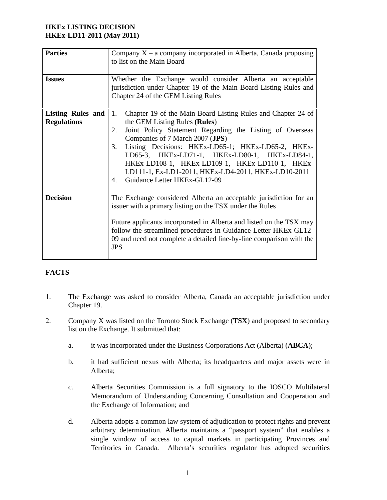# **HKEx LISTING DECISION HKEx-LD11-2011 (May 2011)**

| <b>Parties</b>                          | Company $X - a$ company incorporated in Alberta, Canada proposing<br>to list on the Main Board                                                                                                                                                                                                                                                                                                                                                                                       |  |  |
|-----------------------------------------|--------------------------------------------------------------------------------------------------------------------------------------------------------------------------------------------------------------------------------------------------------------------------------------------------------------------------------------------------------------------------------------------------------------------------------------------------------------------------------------|--|--|
| <b>Issues</b>                           | Whether the Exchange would consider Alberta an acceptable<br>jurisdiction under Chapter 19 of the Main Board Listing Rules and<br>Chapter 24 of the GEM Listing Rules                                                                                                                                                                                                                                                                                                                |  |  |
| Listing Rules and<br><b>Regulations</b> | Chapter 19 of the Main Board Listing Rules and Chapter 24 of<br>1.<br>the GEM Listing Rules (Rules)<br>Joint Policy Statement Regarding the Listing of Overseas<br>2.<br>Companies of 7 March 2007 (JPS)<br>Listing Decisions: HKEx-LD65-1; HKEx-LD65-2, HKEx-<br>3.<br>LD65-3, HKEx-LD71-1, HKEx-LD80-1, HKEx-LD84-1,<br>HKEX-LD108-1, HKEX-LD109-1, HKEX-LD110-1, HKEX-<br>LD111-1, Ex-LD1-2011, HKEx-LD4-2011, HKEx-LD10-2011<br>Guidance Letter HKEx-GL12-09<br>$\overline{4}$ . |  |  |
| <b>Decision</b>                         | The Exchange considered Alberta an acceptable jurisdiction for an<br>issuer with a primary listing on the TSX under the Rules<br>Future applicants incorporated in Alberta and listed on the TSX may<br>follow the streamlined procedures in Guidance Letter HKEx-GL12-<br>09 and need not complete a detailed line-by-line comparison with the<br><b>JPS</b>                                                                                                                        |  |  |

# **FACTS**

- 1. The Exchange was asked to consider Alberta, Canada an acceptable jurisdiction under Chapter 19.
- 2. Company X was listed on the Toronto Stock Exchange (**TSX**) and proposed to secondary list on the Exchange. It submitted that:
	- a. it was incorporated under the Business Corporations Act (Alberta) (**ABCA**);
	- b. it had sufficient nexus with Alberta; its headquarters and major assets were in Alberta;
	- c. Alberta Securities Commission is a full signatory to the IOSCO Multilateral Memorandum of Understanding Concerning Consultation and Cooperation and the Exchange of Information; and
	- d. Alberta adopts a common law system of adjudication to protect rights and prevent arbitrary determination. Alberta maintains a "passport system" that enables a single window of access to capital markets in participating Provinces and Territories in Canada. Alberta's securities regulator has adopted securities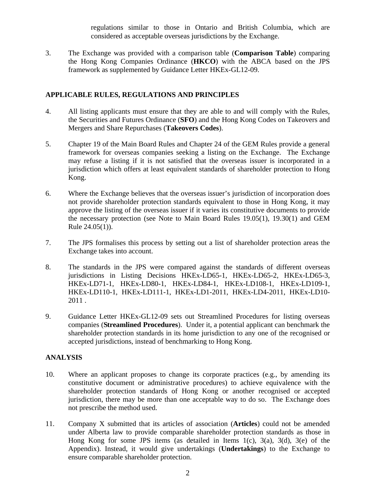regulations similar to those in Ontario and British Columbia, which are considered as acceptable overseas jurisdictions by the Exchange.

3. The Exchange was provided with a comparison table (**Comparison Table**) comparing the Hong Kong Companies Ordinance (**HKCO**) with the ABCA based on the JPS framework as supplemented by Guidance Letter HKEx-GL12-09.

### **APPLICABLE RULES, REGULATIONS AND PRINCIPLES**

- 4. All listing applicants must ensure that they are able to and will comply with the Rules, the Securities and Futures Ordinance (**SFO**) and the Hong Kong Codes on Takeovers and Mergers and Share Repurchases (**Takeovers Codes**).
- 5. Chapter 19 of the Main Board Rules and Chapter 24 of the GEM Rules provide a general framework for overseas companies seeking a listing on the Exchange. The Exchange may refuse a listing if it is not satisfied that the overseas issuer is incorporated in a jurisdiction which offers at least equivalent standards of shareholder protection to Hong Kong.
- 6. Where the Exchange believes that the overseas issuer's jurisdiction of incorporation does not provide shareholder protection standards equivalent to those in Hong Kong, it may approve the listing of the overseas issuer if it varies its constitutive documents to provide the necessary protection (see Note to Main Board Rules 19.05(1), 19.30(1) and GEM Rule 24.05(1)).
- 7. The JPS formalises this process by setting out a list of shareholder protection areas the Exchange takes into account.
- 8. The standards in the JPS were compared against the standards of different overseas jurisdictions in Listing Decisions HKEx-LD65-1, HKEx-LD65-2, HKEx-LD65-3, HKEx-LD71-1, HKEx-LD80-1, HKEx-LD84-1, HKEx-LD108-1, HKEx-LD109-1, HKEx-LD110-1, HKEx-LD111-1, HKEx-LD1-2011, HKEx-LD4-2011, HKEx-LD10- 2011 .
- 9. Guidance Letter HKEx-GL12-09 sets out Streamlined Procedures for listing overseas companies (**Streamlined Procedures**). Under it, a potential applicant can benchmark the shareholder protection standards in its home jurisdiction to any one of the recognised or accepted jurisdictions, instead of benchmarking to Hong Kong.

#### **ANALYSIS**

- 10. Where an applicant proposes to change its corporate practices (e.g., by amending its constitutive document or administrative procedures) to achieve equivalence with the shareholder protection standards of Hong Kong or another recognised or accepted jurisdiction, there may be more than one acceptable way to do so. The Exchange does not prescribe the method used.
- 11. Company X submitted that its articles of association (**Articles**) could not be amended under Alberta law to provide comparable shareholder protection standards as those in Hong Kong for some JPS items (as detailed in Items  $1(c)$ ,  $3(a)$ ,  $3(d)$ ,  $3(e)$  of the Appendix). Instead, it would give undertakings (**Undertakings**) to the Exchange to ensure comparable shareholder protection.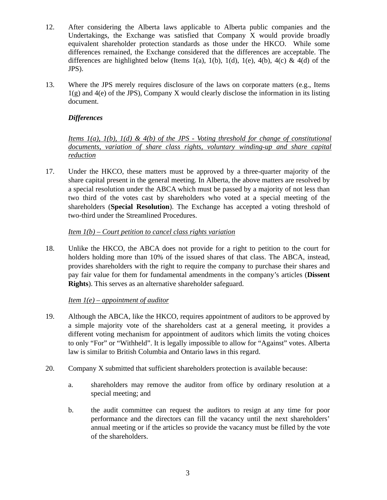- 12. After considering the Alberta laws applicable to Alberta public companies and the Undertakings, the Exchange was satisfied that Company X would provide broadly equivalent shareholder protection standards as those under the HKCO. While some differences remained, the Exchange considered that the differences are acceptable. The differences are highlighted below (Items 1(a), 1(b), 1(d), 1(e), 4(b), 4(c) & 4(d) of the JPS).
- 13. Where the JPS merely requires disclosure of the laws on corporate matters (e.g., Items 1(g) and 4(e) of the JPS), Company X would clearly disclose the information in its listing document.

# *Differences*

*Items 1(a), 1(b), 1(d) & 4(b) of the JPS - Voting threshold for change of constitutional documents, variation of share class rights, voluntary winding-up and share capital reduction* 

17. Under the HKCO, these matters must be approved by a three-quarter majority of the share capital present in the general meeting. In Alberta, the above matters are resolved by a special resolution under the ABCA which must be passed by a majority of not less than two third of the votes cast by shareholders who voted at a special meeting of the shareholders (**Special Resolution**). The Exchange has accepted a voting threshold of two-third under the Streamlined Procedures.

### *Item 1(b) – Court petition to cancel class rights variation*

18. Unlike the HKCO, the ABCA does not provide for a right to petition to the court for holders holding more than 10% of the issued shares of that class. The ABCA, instead, provides shareholders with the right to require the company to purchase their shares and pay fair value for them for fundamental amendments in the company's articles (**Dissent Rights**). This serves as an alternative shareholder safeguard.

### *Item 1(e) – appointment of auditor*

- 19. Although the ABCA, like the HKCO, requires appointment of auditors to be approved by a simple majority vote of the shareholders cast at a general meeting, it provides a different voting mechanism for appointment of auditors which limits the voting choices to only "For" or "Withheld". It is legally impossible to allow for "Against" votes. Alberta law is similar to British Columbia and Ontario laws in this regard.
- 20. Company X submitted that sufficient shareholders protection is available because:
	- a. shareholders may remove the auditor from office by ordinary resolution at a special meeting; and
	- b. the audit committee can request the auditors to resign at any time for poor performance and the directors can fill the vacancy until the next shareholders' annual meeting or if the articles so provide the vacancy must be filled by the vote of the shareholders.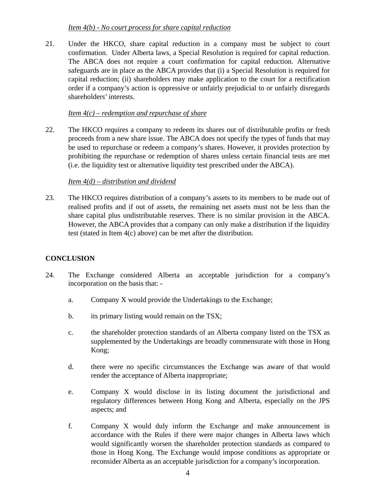### *Item 4(b) - No court process for share capital reduction*

21. Under the HKCO, share capital reduction in a company must be subject to court confirmation. Under Alberta laws, a Special Resolution is required for capital reduction. The ABCA does not require a court confirmation for capital reduction. Alternative safeguards are in place as the ABCA provides that (i) a Special Resolution is required for capital reduction; (ii) shareholders may make application to the court for a rectification order if a company's action is oppressive or unfairly prejudicial to or unfairly disregards shareholders' interests.

#### *Item 4(c) – redemption and repurchase of share*

22. The HKCO requires a company to redeem its shares out of distributable profits or fresh proceeds from a new share issue. The ABCA does not specify the types of funds that may be used to repurchase or redeem a company's shares. However, it provides protection by prohibiting the repurchase or redemption of shares unless certain financial tests are met (i.e. the liquidity test or alternative liquidity test prescribed under the ABCA).

#### *Item 4(d) – distribution and dividend*

23. The HKCO requires distribution of a company's assets to its members to be made out of realised profits and if out of assets, the remaining net assets must not be less than the share capital plus undistributable reserves. There is no similar provision in the ABCA. However, the ABCA provides that a company can only make a distribution if the liquidity test (stated in Item 4(c) above) can be met after the distribution.

### **CONCLUSION**

- 24. The Exchange considered Alberta an acceptable jurisdiction for a company's incorporation on the basis that:
	- a. Company X would provide the Undertakings to the Exchange;
	- b. its primary listing would remain on the TSX;
	- c. the shareholder protection standards of an Alberta company listed on the TSX as supplemented by the Undertakings are broadly commensurate with those in Hong Kong;
	- d. there were no specific circumstances the Exchange was aware of that would render the acceptance of Alberta inappropriate;
	- e. Company X would disclose in its listing document the jurisdictional and regulatory differences between Hong Kong and Alberta, especially on the JPS aspects; and
	- f. Company X would duly inform the Exchange and make announcement in accordance with the Rules if there were major changes in Alberta laws which would significantly worsen the shareholder protection standards as compared to those in Hong Kong. The Exchange would impose conditions as appropriate or reconsider Alberta as an acceptable jurisdiction for a company's incorporation.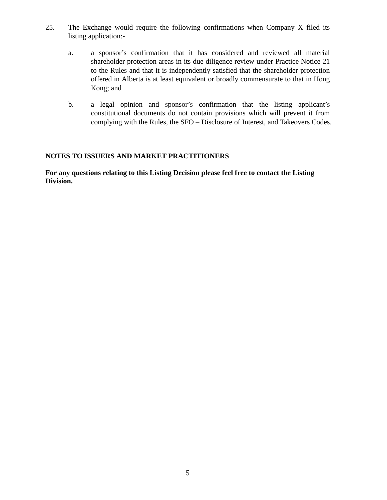- 25. The Exchange would require the following confirmations when Company X filed its listing application:
	- a. a sponsor's confirmation that it has considered and reviewed all material shareholder protection areas in its due diligence review under Practice Notice 21 to the Rules and that it is independently satisfied that the shareholder protection offered in Alberta is at least equivalent or broadly commensurate to that in Hong Kong; and
	- b. a legal opinion and sponsor's confirmation that the listing applicant's constitutional documents do not contain provisions which will prevent it from complying with the Rules, the SFO – Disclosure of Interest, and Takeovers Codes.

### **NOTES TO ISSUERS AND MARKET PRACTITIONERS**

**For any questions relating to this Listing Decision please feel free to contact the Listing Division.**